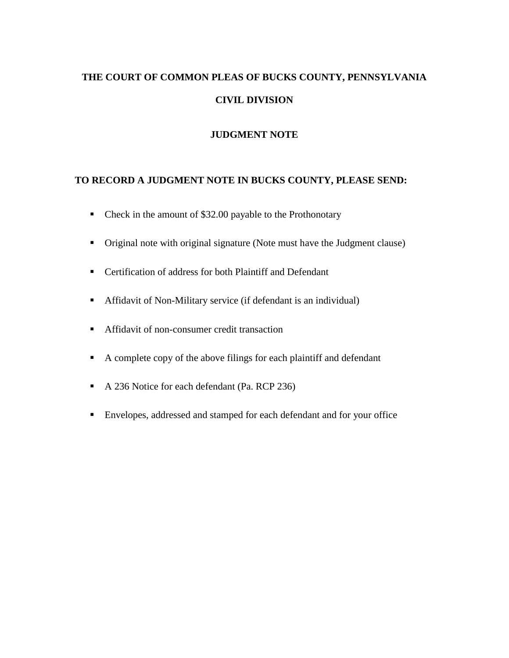# **THE COURT OF COMMON PLEAS OF BUCKS COUNTY, PENNSYLVANIA CIVIL DIVISION**

## **JUDGMENT NOTE**

## **TO RECORD A JUDGMENT NOTE IN BUCKS COUNTY, PLEASE SEND:**

- Check in the amount of \$32.00 payable to the Prothonotary
- Original note with original signature (Note must have the Judgment clause)
- Certification of address for both Plaintiff and Defendant
- Affidavit of Non-Military service (if defendant is an individual)
- **Affidavit of non-consumer credit transaction**
- A complete copy of the above filings for each plaintiff and defendant
- A 236 Notice for each defendant (Pa. RCP 236)
- Envelopes, addressed and stamped for each defendant and for your office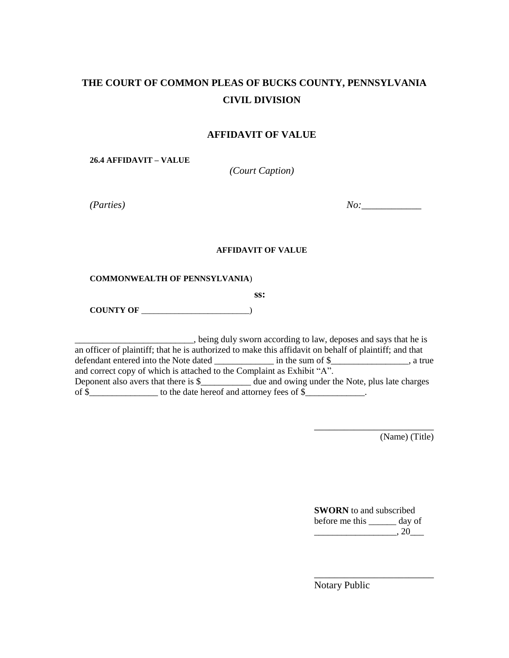## **THE COURT OF COMMON PLEAS OF BUCKS COUNTY, PENNSYLVANIA CIVIL DIVISION**

#### **AFFIDAVIT OF VALUE**

**26.4 AFFIDAVIT – VALUE** 

*(Court Caption)* 

*(Parties) No:\_\_\_\_\_\_\_\_\_\_\_\_* 

#### **AFFIDAVIT OF VALUE**

#### **COMMONWEALTH OF PENNSYLVANIA**)

**ss:** 

**COUNTY OF** \_\_\_\_\_\_\_\_\_\_\_\_\_\_\_\_\_\_\_\_\_\_\_\_\_\_)

\_\_\_\_\_\_\_\_\_\_\_\_\_\_\_\_\_\_\_\_\_\_\_\_\_\_, being duly sworn according to law, deposes and says that he is an officer of plaintiff; that he is authorized to make this affidavit on behalf of plaintiff; and that defendant entered into the Note dated \_\_\_\_\_\_\_\_\_\_\_\_\_\_ in the sum of \$\_\_\_\_\_\_\_\_\_\_\_\_\_\_\_, a true and correct copy of which is attached to the Complaint as Exhibit "A". Deponent also avers that there is \$\_\_\_\_\_\_\_\_\_\_\_\_ due and owing under the Note, plus late charges of \$\_\_\_\_\_\_\_\_\_\_\_\_\_\_\_\_\_ to the date hereof and attorney fees of \$\_\_\_\_\_\_\_\_\_\_\_\_\_\_\_\_\_

(Name) (Title)

| <b>SWORN</b> to and subscribed |        |
|--------------------------------|--------|
| before me this                 | day of |
|                                | .20    |

\_\_\_\_\_\_\_\_\_\_\_\_\_\_\_\_\_\_\_\_\_\_\_\_

\_\_\_\_\_\_\_\_\_\_\_\_\_\_\_\_\_\_\_\_\_\_\_\_

Notary Public